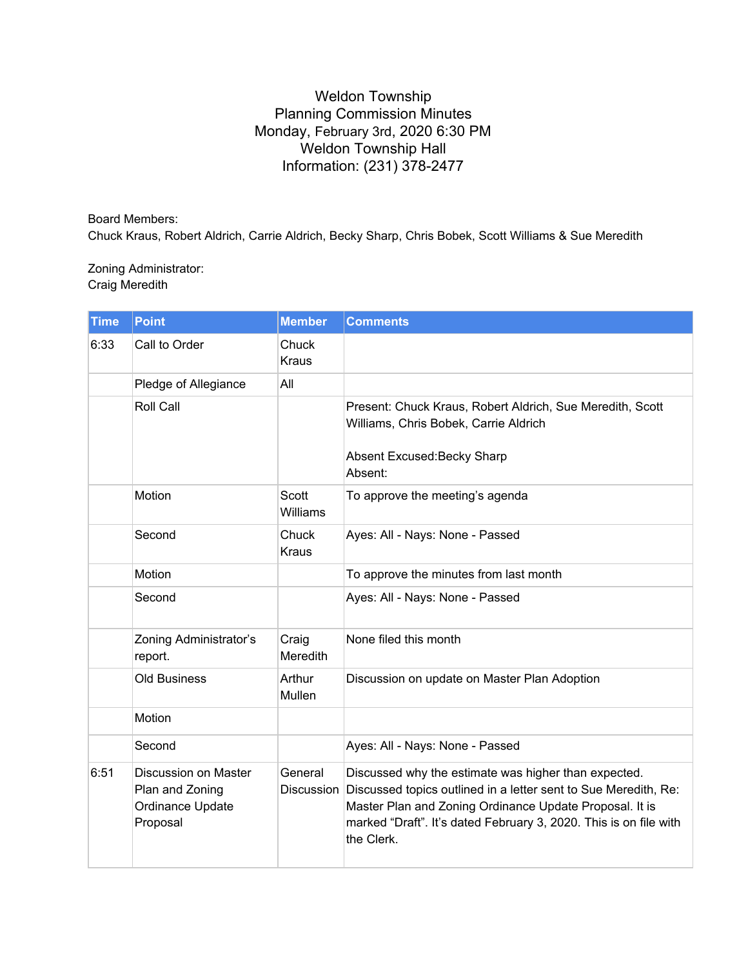## Weldon Township Planning Commission Minutes Monday, February 3rd, 2020 6:30 PM Weldon Township Hall Information: (231) 378-2477

Board Members: Chuck Kraus, Robert Aldrich, Carrie Aldrich, Becky Sharp, Chris Bobek, Scott Williams & Sue Meredith

## Zoning Administrator: Craig Meredith

| <b>Time</b> | <b>Point</b>                                                            | <b>Member</b>            | <b>Comments</b>                                                                                                                                                                                                                                                       |
|-------------|-------------------------------------------------------------------------|--------------------------|-----------------------------------------------------------------------------------------------------------------------------------------------------------------------------------------------------------------------------------------------------------------------|
| 6:33        | Call to Order                                                           | Chuck<br><b>Kraus</b>    |                                                                                                                                                                                                                                                                       |
|             | Pledge of Allegiance                                                    | All                      |                                                                                                                                                                                                                                                                       |
|             | Roll Call                                                               |                          | Present: Chuck Kraus, Robert Aldrich, Sue Meredith, Scott<br>Williams, Chris Bobek, Carrie Aldrich<br>Absent Excused: Becky Sharp<br>Absent:                                                                                                                          |
|             | Motion                                                                  | Scott<br><b>Williams</b> | To approve the meeting's agenda                                                                                                                                                                                                                                       |
|             | Second                                                                  | Chuck<br><b>Kraus</b>    | Ayes: All - Nays: None - Passed                                                                                                                                                                                                                                       |
|             | Motion                                                                  |                          | To approve the minutes from last month                                                                                                                                                                                                                                |
|             | Second                                                                  |                          | Ayes: All - Nays: None - Passed                                                                                                                                                                                                                                       |
|             | Zoning Administrator's<br>report.                                       | Craig<br>Meredith        | None filed this month                                                                                                                                                                                                                                                 |
|             | <b>Old Business</b>                                                     | Arthur<br>Mullen         | Discussion on update on Master Plan Adoption                                                                                                                                                                                                                          |
|             | Motion                                                                  |                          |                                                                                                                                                                                                                                                                       |
|             | Second                                                                  |                          | Ayes: All - Nays: None - Passed                                                                                                                                                                                                                                       |
| 6:51        | Discussion on Master<br>Plan and Zoning<br>Ordinance Update<br>Proposal | General<br>Discussion    | Discussed why the estimate was higher than expected.<br>Discussed topics outlined in a letter sent to Sue Meredith, Re:<br>Master Plan and Zoning Ordinance Update Proposal. It is<br>marked "Draft". It's dated February 3, 2020. This is on file with<br>the Clerk. |